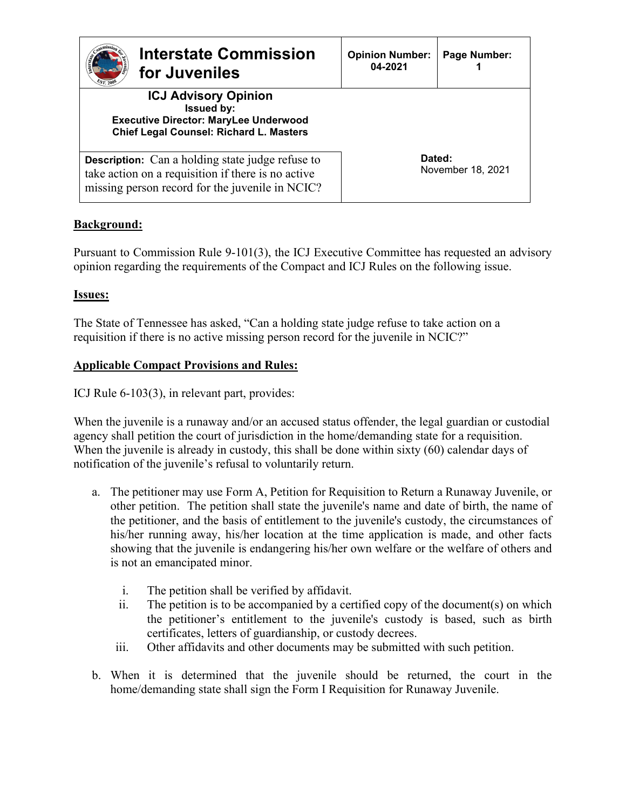| <b>Interstate Commission</b><br>for Juveniles<br>ST 200                                                                                                          | <b>Opinion Number:</b><br>04-2021 | Page Number:      |
|------------------------------------------------------------------------------------------------------------------------------------------------------------------|-----------------------------------|-------------------|
| <b>ICJ Advisory Opinion</b><br><b>Issued by:</b><br><b>Executive Director: MaryLee Underwood</b><br><b>Chief Legal Counsel: Richard L. Masters</b>               |                                   |                   |
| <b>Description:</b> Can a holding state judge refuse to<br>take action on a requisition if there is no active<br>missing person record for the juvenile in NCIC? | Dated:                            | November 18, 2021 |

# **Background:**

Pursuant to Commission Rule 9-101(3), the ICJ Executive Committee has requested an advisory opinion regarding the requirements of the Compact and ICJ Rules on the following issue.

## **Issues:**

The State of Tennessee has asked, "Can a holding state judge refuse to take action on a requisition if there is no active missing person record for the juvenile in NCIC?"

## **Applicable Compact Provisions and Rules:**

ICJ Rule 6-103(3), in relevant part, provides:

When the juvenile is a runaway and/or an accused status offender, the legal guardian or custodial agency shall petition the court of jurisdiction in the home/demanding state for a requisition. When the juvenile is already in custody, this shall be done within sixty (60) calendar days of notification of the juvenile's refusal to voluntarily return.

- a. The petitioner may use Form A, Petition for Requisition to Return a Runaway Juvenile, or other petition. The petition shall state the juvenile's name and date of birth, the name of the petitioner, and the basis of entitlement to the juvenile's custody, the circumstances of his/her running away, his/her location at the time application is made, and other facts showing that the juvenile is endangering his/her own welfare or the welfare of others and is not an emancipated minor.
	- i. The petition shall be verified by affidavit.
	- ii. The petition is to be accompanied by a certified copy of the document(s) on which the petitioner's entitlement to the juvenile's custody is based, such as birth certificates, letters of guardianship, or custody decrees.
	- iii. Other affidavits and other documents may be submitted with such petition.
- b. When it is determined that the juvenile should be returned, the court in the home/demanding state shall sign the Form I Requisition for Runaway Juvenile.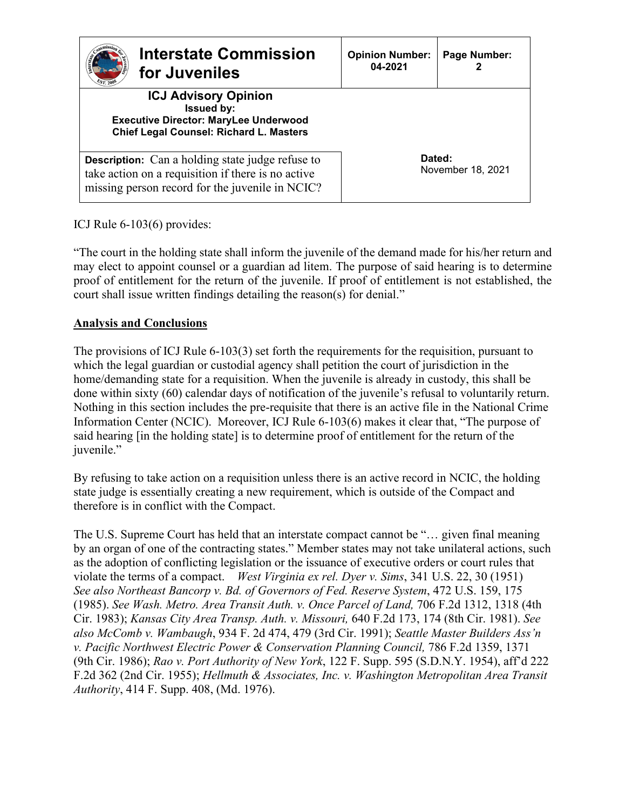| <b>Interstate Commission</b><br>for Juveniles                                                                                                                    | <b>Opinion Number:</b><br>04-2021 | Page Number:                |
|------------------------------------------------------------------------------------------------------------------------------------------------------------------|-----------------------------------|-----------------------------|
| <b>ICJ Advisory Opinion</b><br><b>Issued by:</b><br><b>Executive Director: MaryLee Underwood</b><br><b>Chief Legal Counsel: Richard L. Masters</b>               |                                   |                             |
| <b>Description:</b> Can a holding state judge refuse to<br>take action on a requisition if there is no active<br>missing person record for the juvenile in NCIC? |                                   | Dated:<br>November 18, 2021 |

ICJ Rule 6-103(6) provides:

"The court in the holding state shall inform the juvenile of the demand made for his/her return and may elect to appoint counsel or a guardian ad litem. The purpose of said hearing is to determine proof of entitlement for the return of the juvenile. If proof of entitlement is not established, the court shall issue written findings detailing the reason(s) for denial."

## **Analysis and Conclusions**

The provisions of ICJ Rule 6-103(3) set forth the requirements for the requisition, pursuant to which the legal guardian or custodial agency shall petition the court of jurisdiction in the home/demanding state for a requisition. When the juvenile is already in custody, this shall be done within sixty (60) calendar days of notification of the juvenile's refusal to voluntarily return. Nothing in this section includes the pre-requisite that there is an active file in the National Crime Information Center (NCIC). Moreover, ICJ Rule 6-103(6) makes it clear that, "The purpose of said hearing [in the holding state] is to determine proof of entitlement for the return of the juvenile."

By refusing to take action on a requisition unless there is an active record in NCIC, the holding state judge is essentially creating a new requirement, which is outside of the Compact and therefore is in conflict with the Compact.

The U.S. Supreme Court has held that an interstate compact cannot be "… given final meaning by an organ of one of the contracting states." Member states may not take unilateral actions, such as the adoption of conflicting legislation or the issuance of executive orders or court rules that violate the terms of a compact. *West Virginia ex rel. Dyer v. Sims*, 341 U.S. 22, 30 (1951) *See also Northeast Bancorp v. Bd. of Governors of Fed. Reserve System*, 472 U.S. 159, 175 (1985). *See Wash. Metro. Area Transit Auth. v. Once Parcel of Land,* 706 F.2d 1312, 1318 (4th Cir. 1983); *Kansas City Area Transp. Auth. v. Missouri,* 640 F.2d 173, 174 (8th Cir. 1981). *See also McComb v. Wambaugh*, 934 F. 2d 474, 479 (3rd Cir. 1991); *Seattle Master Builders Ass'n v. Pacific Northwest Electric Power & Conservation Planning Council,* 786 F.2d 1359, 1371 (9th Cir. 1986); *Rao v. Port Authority of New York*, 122 F. Supp. 595 (S.D.N.Y. 1954), aff'd 222 F.2d 362 (2nd Cir. 1955); *Hellmuth & Associates, Inc. v. Washington Metropolitan Area Transit Authority*, 414 F. Supp. 408, (Md. 1976).